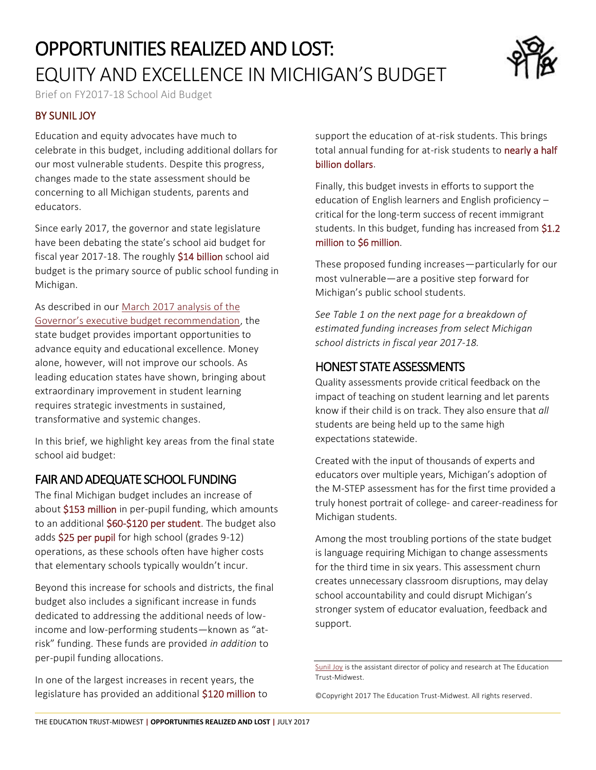# OPPORTUNITIES REALIZED AND LOST: EQUITY AND EXCELLENCE IN MICHIGAN'S BUDGET



Brief on FY2017-18 School Aid Budget

#### BY SUNIL JOY

Education and equity advocates have much to celebrate in this budget, including additional dollars for our most vulnerable students. Despite this progress, changes made to the state assessment should be concerning to all Michigan students, parents and educators.

Since early 2017, the governor and state legislature have been debating the state's school aid budget for fiscal year 2017-18. The roughly \$14 billion school aid budget is the primary source of public school funding in Michigan.

As described in our [March 2017 analysis](https://midwest.edtrust.org/wp-content/uploads/sites/2/2013/10/The-Education-Trust-Midwest_Opportunities-in-Michigans-State-Budget_March-2017.pdf) of the [Governor's executive budget recommendation](https://midwest.edtrust.org/wp-content/uploads/sites/2/2013/10/The-Education-Trust-Midwest_Opportunities-in-Michigans-State-Budget_March-2017.pdf), the state budget provides important opportunities to advance equity and educational excellence. Money alone, however, will not improve our schools. As leading education states have shown, bringing about extraordinary improvement in student learning requires strategic investments in sustained, transformative and systemic changes.

In this brief, we highlight key areas from the final state school aid budget:

## FAIR AND ADEQUATE SCHOOL FUNDING

The final Michigan budget includes an increase of about \$153 million in per-pupil funding, which amounts to an additional \$60-\$120 per student. The budget also adds \$25 per pupil for high school (grades 9-12) operations, as these schools often have higher costs that elementary schools typically wouldn't incur.

Beyond this increase for schools and districts, the final budget also includes a significant increase in funds dedicated to addressing the additional needs of lowincome and low-performing students—known as "atrisk" funding. These funds are provided *in addition* to per-pupil funding allocations.

In one of the largest increases in recent years, the legislature has provided an additional \$120 million to support the education of at-risk students. This brings total annual funding for at-risk students to nearly a half billion dollars.

Finally, this budget invests in efforts to support the education of English learners and English proficiency – critical for the long-term success of recent immigrant students. In this budget, funding has increased from \$1.2 million to \$6 million.

These proposed funding increases—particularly for our most vulnerable—are a positive step forward for Michigan's public school students.

*See Table 1 on the next page for a breakdown of estimated funding increases from select Michigan school districts in fiscal year 2017-18.*

### HONEST STATE ASSESSMENTS

Quality assessments provide critical feedback on the impact of teaching on student learning and let parents know if their child is on track. They also ensure that *all* students are being held up to the same high expectations statewide.

Created with the input of thousands of experts and educators over multiple years, Michigan's adoption of the M-STEP assessment has for the first time provided a truly honest portrait of college- and career-readiness for Michigan students.

Among the most troubling portions of the state budget is language requiring Michigan to change assessments for the third time in six years. This assessment churn creates unnecessary classroom disruptions, may delay school accountability and could disrupt Michigan's stronger system of educator evaluation, feedback and support.

[Sunil Joy](https://midwest.edtrust.org/team/sunil-joy/) is the assistant director of policy and research at The Education Trust-Midwest.

<sup>©</sup>Copyright 2017 The Education Trust-Midwest. All rights reserved.